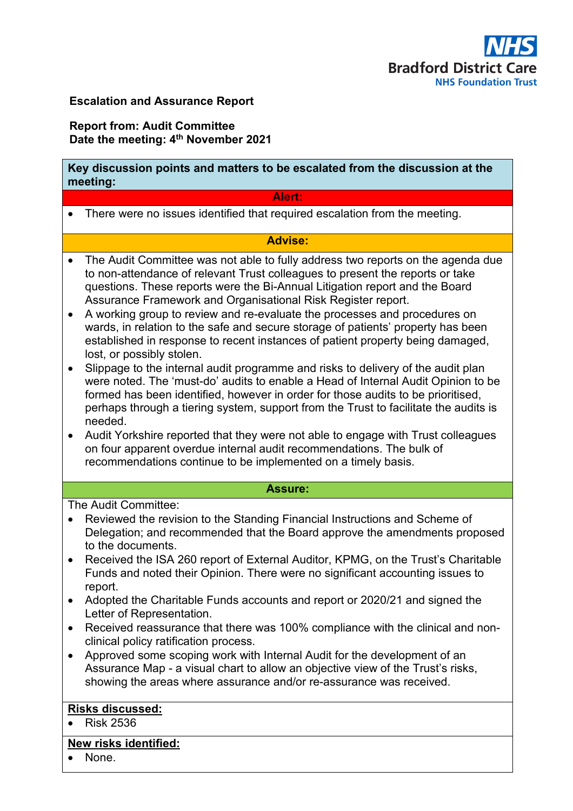

# **Escalation and Assurance Report**

# **Report from: Audit Committee Date the meeting: 4th November 2021**

# **Key discussion points and matters to be escalated from the discussion at the meeting:**

#### **Alert:**

• There were no issues identified that required escalation from the meeting.

# **Advise:**

- The Audit Committee was not able to fully address two reports on the agenda due to non-attendance of relevant Trust colleagues to present the reports or take questions. These reports were the Bi-Annual Litigation report and the Board Assurance Framework and Organisational Risk Register report.
- A working group to review and re-evaluate the processes and procedures on wards, in relation to the safe and secure storage of patients' property has been established in response to recent instances of patient property being damaged, lost, or possibly stolen.
- Slippage to the internal audit programme and risks to delivery of the audit plan were noted. The 'must-do' audits to enable a Head of Internal Audit Opinion to be formed has been identified, however in order for those audits to be prioritised, perhaps through a tiering system, support from the Trust to facilitate the audits is needed.
- Audit Yorkshire reported that they were not able to engage with Trust colleagues on four apparent overdue internal audit recommendations. The bulk of recommendations continue to be implemented on a timely basis.

#### **Assure:**

The Audit Committee:

- Reviewed the revision to the Standing Financial Instructions and Scheme of Delegation; and recommended that the Board approve the amendments proposed to the documents.
- Received the ISA 260 report of External Auditor, KPMG, on the Trust's Charitable Funds and noted their Opinion. There were no significant accounting issues to report.
- Adopted the Charitable Funds accounts and report or 2020/21 and signed the Letter of Representation.
- Received reassurance that there was 100% compliance with the clinical and nonclinical policy ratification process.
- Approved some scoping work with Internal Audit for the development of an Assurance Map - a visual chart to allow an objective view of the Trust's risks, showing the areas where assurance and/or re-assurance was received.

## **Risks discussed:**

• Risk 2536

## **New risks identified:**

• None.